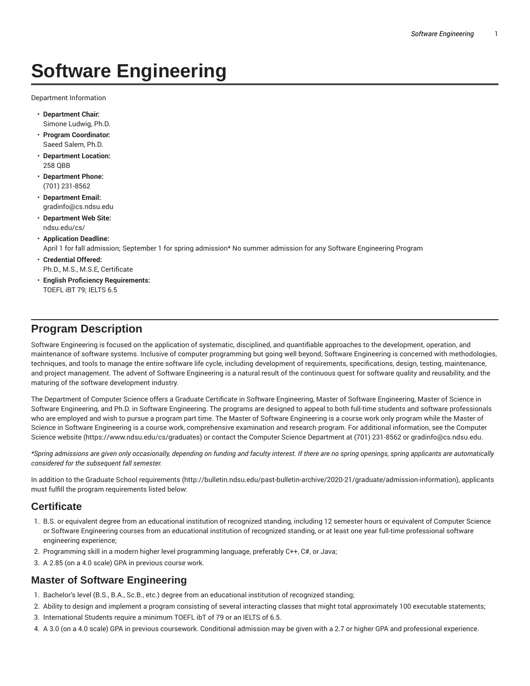# **Software Engineering**

Department Information

- **Department Chair:** Simone Ludwig, Ph.D.
- **Program Coordinator:** Saeed Salem, Ph.D.
- **Department Location:** 258 QBB
- **Department Phone:** (701) 231-8562
- **Department Email:** gradinfo@cs.ndsu.edu
- **Department Web Site:** ndsu.edu/cs/
- **Application Deadline:** April 1 for fall admission; September 1 for spring admission\* No summer admission for any Software Engineering Program
- **Credential Offered:** Ph.D., M.S., M.S.E, Certificate
- **English Proficiency Requirements:** TOEFL iBT 79; IELTS 6.5

# **Program Description**

Software Engineering is focused on the application of systematic, disciplined, and quantifiable approaches to the development, operation, and maintenance of software systems. Inclusive of computer programming but going well beyond, Software Engineering is concerned with methodologies, techniques, and tools to manage the entire software life cycle, including development of requirements, specifications, design, testing, maintenance, and project management. The advent of Software Engineering is a natural result of the continuous quest for software quality and reusability, and the maturing of the software development industry.

The Department of Computer Science offers a Graduate Certificate in Software Engineering, Master of Software Engineering, Master of Science in Software Engineering, and Ph.D. in Software Engineering. The programs are designed to appeal to both full-time students and software professionals who are employed and wish to pursue a program part time. The Master of Software Engineering is a course work only program while the Master of Science in Software Engineering is a course work, comprehensive examination and research program. For additional information, see the Computer Science website (https://www.ndsu.edu/cs/graduates) or contact the Computer Science Department at (701) 231-8562 or gradinfo@cs.ndsu.edu.

\*Spring admissions are given only occasionally, depending on funding and faculty interest. If there are no spring openings, spring applicants are automatically *considered for the subsequent fall semester.*

In addition to the Graduate School requirements (http://bulletin.ndsu.edu/past-bulletin-archive/2020-21/graduate/admission-information), applicants must fulfill the program requirements listed below:

# **Certificate**

- 1. B.S. or equivalent degree from an educational institution of recognized standing, including 12 semester hours or equivalent of Computer Science or Software Engineering courses from an educational institution of recognized standing, or at least one year full-time professional software engineering experience;
- 2. Programming skill in a modern higher level programming language, preferably C++, C#, or Java;
- 3. A 2.85 (on a 4.0 scale) GPA in previous course work.

# **Master of Software Engineering**

- 1. Bachelor's level (B.S., B.A., Sc.B., etc.) degree from an educational institution of recognized standing;
- 2. Ability to design and implement a program consisting of several interacting classes that might total approximately 100 executable statements;
- 3. International Students require a minimum TOEFL ibT of 79 or an IELTS of 6.5.
- 4. A 3.0 (on a 4.0 scale) GPA in previous coursework. Conditional admission may be given with a 2.7 or higher GPA and professional experience.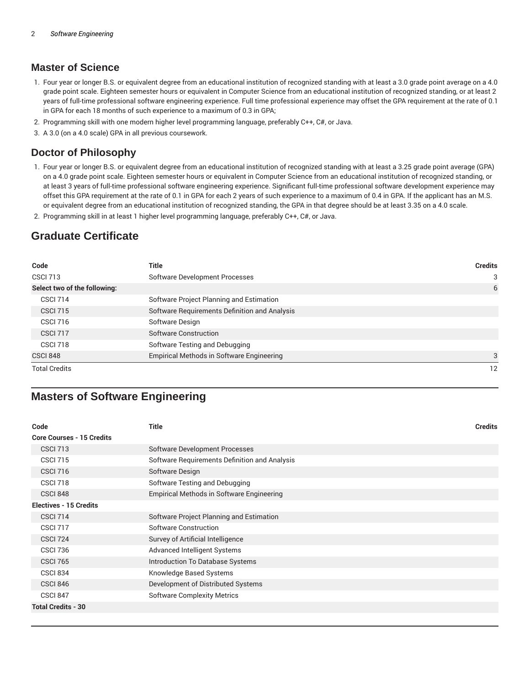### **Master of Science**

- 1. Four year or longer B.S. or equivalent degree from an educational institution of recognized standing with at least a 3.0 grade point average on a 4.0 grade point scale. Eighteen semester hours or equivalent in Computer Science from an educational institution of recognized standing, or at least 2 years of full-time professional software engineering experience. Full time professional experience may offset the GPA requirement at the rate of 0.1 in GPA for each 18 months of such experience to a maximum of 0.3 in GPA;
- 2. Programming skill with one modern higher level programming language, preferably C++, C#, or Java.
- 3. A 3.0 (on a 4.0 scale) GPA in all previous coursework.

### **Doctor of Philosophy**

- 1. Four year or longer B.S. or equivalent degree from an educational institution of recognized standing with at least a 3.25 grade point average (GPA) on a 4.0 grade point scale. Eighteen semester hours or equivalent in Computer Science from an educational institution of recognized standing, or at least 3 years of full-time professional software engineering experience. Significant full-time professional software development experience may offset this GPA requirement at the rate of 0.1 in GPA for each 2 years of such experience to a maximum of 0.4 in GPA. If the applicant has an M.S. or equivalent degree from an educational institution of recognized standing, the GPA in that degree should be at least 3.35 on a 4.0 scale.
- 2. Programming skill in at least 1 higher level programming language, preferably C++, C#, or Java.

# **Graduate Certificate**

| Code                         | Title                                         | <b>Credits</b> |
|------------------------------|-----------------------------------------------|----------------|
| <b>CSCI 713</b>              | Software Development Processes                | 3              |
| Select two of the following: |                                               | 6              |
| <b>CSCI 714</b>              | Software Project Planning and Estimation      |                |
| <b>CSCI 715</b>              | Software Requirements Definition and Analysis |                |
| <b>CSCI 716</b>              | Software Design                               |                |
| <b>CSCI 717</b>              | Software Construction                         |                |
| <b>CSCI 718</b>              | Software Testing and Debugging                |                |
| <b>CSCI 848</b>              | Empirical Methods in Software Engineering     | 3              |
| <b>Total Credits</b>         |                                               | 12             |

# **Masters of Software Engineering**

| Code                             | Title                                            | <b>Credits</b> |
|----------------------------------|--------------------------------------------------|----------------|
| <b>Core Courses - 15 Credits</b> |                                                  |                |
| <b>CSCI 713</b>                  | Software Development Processes                   |                |
| <b>CSCI 715</b>                  | Software Requirements Definition and Analysis    |                |
| <b>CSCI 716</b>                  | Software Design                                  |                |
| <b>CSCI 718</b>                  | Software Testing and Debugging                   |                |
| <b>CSCI 848</b>                  | <b>Empirical Methods in Software Engineering</b> |                |
| <b>Electives - 15 Credits</b>    |                                                  |                |
| <b>CSCI 714</b>                  | Software Project Planning and Estimation         |                |
| <b>CSCI 717</b>                  | Software Construction                            |                |
| <b>CSCI 724</b>                  | Survey of Artificial Intelligence                |                |
| <b>CSCI 736</b>                  | Advanced Intelligent Systems                     |                |
| <b>CSCI 765</b>                  | <b>Introduction To Database Systems</b>          |                |
| <b>CSCI 834</b>                  | Knowledge Based Systems                          |                |
| <b>CSCI 846</b>                  | Development of Distributed Systems               |                |
| CSCI 847                         | <b>Software Complexity Metrics</b>               |                |
| <b>Total Credits - 30</b>        |                                                  |                |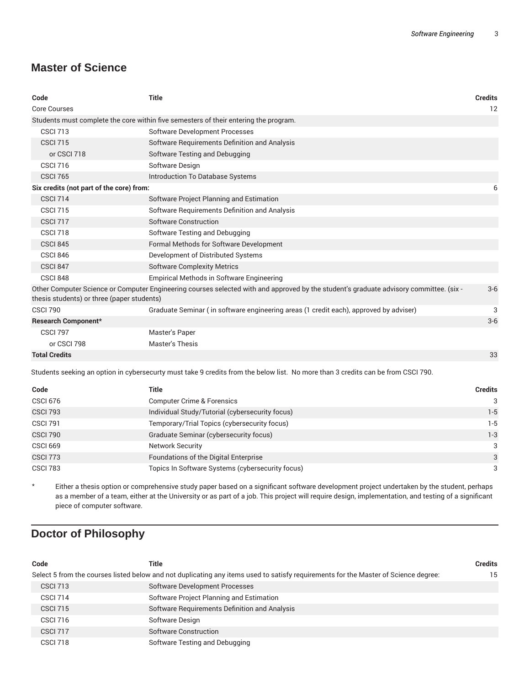# **Master of Science**

| Code                                                                                                                                                                                 | <b>Title</b>                                                                          | <b>Credits</b> |
|--------------------------------------------------------------------------------------------------------------------------------------------------------------------------------------|---------------------------------------------------------------------------------------|----------------|
| <b>Core Courses</b>                                                                                                                                                                  |                                                                                       | 12             |
| Students must complete the core within five semesters of their entering the program.                                                                                                 |                                                                                       |                |
| <b>CSCI 713</b>                                                                                                                                                                      | <b>Software Development Processes</b>                                                 |                |
| <b>CSCI 715</b>                                                                                                                                                                      | Software Requirements Definition and Analysis                                         |                |
| or CSCI 718                                                                                                                                                                          | Software Testing and Debugging                                                        |                |
| <b>CSCI 716</b>                                                                                                                                                                      | Software Design                                                                       |                |
| <b>CSCI 765</b>                                                                                                                                                                      | Introduction To Database Systems                                                      |                |
| Six credits (not part of the core) from:                                                                                                                                             |                                                                                       |                |
| <b>CSCI 714</b>                                                                                                                                                                      | Software Project Planning and Estimation                                              |                |
| <b>CSCI 715</b>                                                                                                                                                                      | Software Requirements Definition and Analysis                                         |                |
| <b>CSCI 717</b>                                                                                                                                                                      | Software Construction                                                                 |                |
| <b>CSCI 718</b>                                                                                                                                                                      | Software Testing and Debugging                                                        |                |
| <b>CSCI 845</b>                                                                                                                                                                      | Formal Methods for Software Development                                               |                |
| <b>CSCI 846</b>                                                                                                                                                                      | Development of Distributed Systems                                                    |                |
| <b>CSCI 847</b>                                                                                                                                                                      | <b>Software Complexity Metrics</b>                                                    |                |
| <b>CSCI 848</b>                                                                                                                                                                      | Empirical Methods in Software Engineering                                             |                |
| Other Computer Science or Computer Engineering courses selected with and approved by the student's graduate advisory committee. (six -<br>thesis students) or three (paper students) |                                                                                       |                |
| <b>CSCI 790</b>                                                                                                                                                                      | Graduate Seminar (in software engineering areas (1 credit each), approved by adviser) | 3              |
| <b>Research Component*</b>                                                                                                                                                           |                                                                                       | $3-6$          |
| <b>CSCI 797</b>                                                                                                                                                                      | Master's Paper                                                                        |                |
| or CSCI 798                                                                                                                                                                          | <b>Master's Thesis</b>                                                                |                |
| <b>Total Credits</b>                                                                                                                                                                 |                                                                                       | 33             |

Students seeking an option in cybersecurty must take 9 credits from the below list. No more than 3 credits can be from CSCI 790.

| Code            | Title                                            | <b>Credits</b> |
|-----------------|--------------------------------------------------|----------------|
| <b>CSCI 676</b> | <b>Computer Crime &amp; Forensics</b>            | 3              |
| <b>CSCI 793</b> | Individual Study/Tutorial (cybersecurity focus)  | $1-5$          |
| <b>CSCI 791</b> | Temporary/Trial Topics (cybersecurity focus)     | $1-5$          |
| <b>CSCI 790</b> | Graduate Seminar (cybersecurity focus)           | $1 - 3$        |
| <b>CSCI 669</b> | <b>Network Security</b>                          | 3              |
| <b>CSCI 773</b> | Foundations of the Digital Enterprise            | 3              |
| <b>CSCI 783</b> | Topics In Software Systems (cybersecurity focus) | 3              |

\* Either a thesis option or comprehensive study paper based on a significant software development project undertaken by the student, perhaps as a member of a team, either at the University or as part of a job. This project will require design, implementation, and testing of a significant piece of computer software.

# **Doctor of Philosophy**

| Code                                                                                                                                | Title                                    |                                               | <b>Credits</b> |
|-------------------------------------------------------------------------------------------------------------------------------------|------------------------------------------|-----------------------------------------------|----------------|
| Select 5 from the courses listed below and not duplicating any items used to satisfy requirements for the Master of Science degree: |                                          |                                               | 15             |
| <b>CSCI 713</b>                                                                                                                     | Software Development Processes           |                                               |                |
| <b>CSCI 714</b>                                                                                                                     | Software Project Planning and Estimation |                                               |                |
| <b>CSCI 715</b>                                                                                                                     |                                          | Software Requirements Definition and Analysis |                |
| <b>CSCI 716</b>                                                                                                                     | Software Design                          |                                               |                |
| <b>CSCI 717</b>                                                                                                                     | Software Construction                    |                                               |                |
| CSCI 718                                                                                                                            | Software Testing and Debugging           |                                               |                |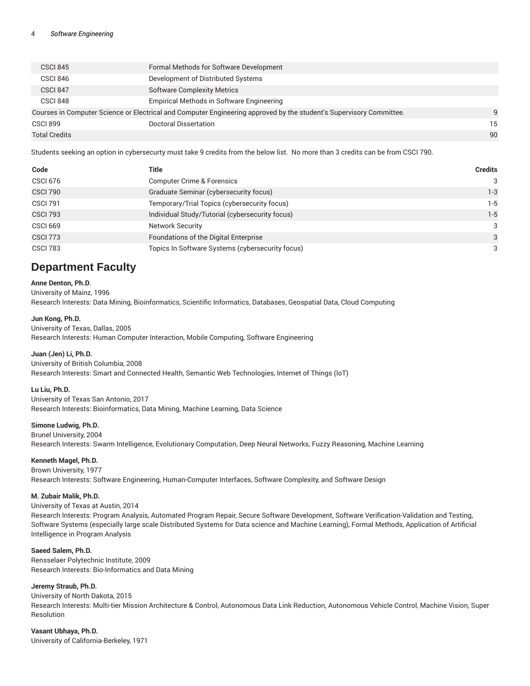| <b>CSCI 845</b>                                                                                                     | Formal Methods for Software Development   |    |
|---------------------------------------------------------------------------------------------------------------------|-------------------------------------------|----|
| <b>CSCI 846</b>                                                                                                     | Development of Distributed Systems        |    |
| <b>CSCI 847</b>                                                                                                     | <b>Software Complexity Metrics</b>        |    |
| CSCI 848                                                                                                            | Empirical Methods in Software Engineering |    |
| Courses in Computer Science or Electrical and Computer Engineering approved by the student's Supervisory Committee. |                                           |    |
| <b>CSCI 899</b>                                                                                                     | Doctoral Dissertation                     | 15 |
| <b>Total Credits</b>                                                                                                |                                           | 90 |

Students seeking an option in cybersecurty must take 9 credits from the below list. No more than 3 credits can be from CSCI 790.

| Code            | Title                                            | <b>Credits</b> |
|-----------------|--------------------------------------------------|----------------|
| <b>CSCI 676</b> | <b>Computer Crime &amp; Forensics</b>            | 3              |
| <b>CSCI 790</b> | Graduate Seminar (cybersecurity focus)           | $1-3$          |
| <b>CSCI 791</b> | Temporary/Trial Topics (cybersecurity focus)     | $1-5$          |
| <b>CSCI 793</b> | Individual Study/Tutorial (cybersecurity focus)  | $1-5$          |
| <b>CSCI 669</b> | <b>Network Security</b>                          | 3              |
| <b>CSCI 773</b> | Foundations of the Digital Enterprise            | 3              |
| <b>CSCI 783</b> | Topics In Software Systems (cybersecurity focus) | 3              |

# **Department Faculty**

**Anne Denton, Ph.D**. University of Mainz, 1996 Research Interests: Data Mining, Bioinformatics, Scientific Informatics, Databases, Geospatial Data, Cloud Computing

**Jun Kong, Ph.D.**

University of Texas, Dallas, 2005 Research Interests: Human Computer Interaction, Mobile Computing, Software Engineering

**Juan (Jen) Li, Ph.D.** University of British Columbia, 2008 Research Interests: Smart and Connected Health, Semantic Web Technologies, Internet of Things (IoT)

**Lu Liu, Ph.D.**

University of Texas San Antonio, 2017 Research Interests: Bioinformatics, Data Mining, Machine Learning, Data Science

**Simone Ludwig, Ph.D.**

Brunel University, 2004 Research Interests: Swarm Intelligence, Evolutionary Computation, Deep Neural Networks, Fuzzy Reasoning, Machine Learning

**Kenneth Magel, Ph.D.**

Brown University, 1977

Research Interests: Software Engineering, Human-Computer Interfaces, Software Complexity, and Software Design

### **M. Zubair Malik, Ph.D.**

University of Texas at Austin, 2014

Research Interests: Program Analysis, Automated Program Repair, Secure Software Development, Software Verification-Validation and Testing, Software Systems (especially large scale Distributed Systems for Data science and Machine Learning), Formal Methods, Application of Artificial Intelligence in Program Analysis

#### **Saeed Salem, Ph.D.**

Rensselaer Polytechnic Institute, 2009 Research Interests: Bio-Informatics and Data Mining

#### **Jeremy Straub, Ph.D.**

University of North Dakota, 2015 Research Interests: Multi-tier Mission Architecture & Control, Autonomous Data Link Reduction, Autonomous Vehicle Control, Machine Vision, Super Resolution

**Vasant Ubhaya, Ph.D.** University of California-Berkeley, 1971